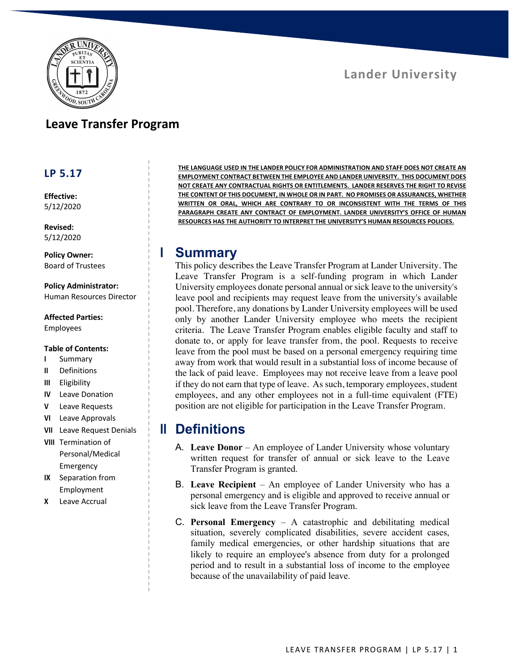

#### **Leave Transfer Program**

#### **LP 5.17**

**Effective:** 5/12/2020

**Revised:** 5/12/2020

**Policy Owner:** Board of Trustees

**Policy Administrator:** Human Resources Director

#### **Affected Parties:**

Employees

#### **Table of Contents:**

- **I** Summary
- **II** Definitions
- **III** Eligibility
- **IV** Leave Donation
- **V** Leave Requests
- **VI** Leave Approvals
- **VII** Leave Request Denials
- **VIII** Termination of Personal/Medical Emergency
- **IX** Separation from Employment
- **X** Leave Accrual

**THE LANGUAGE USED IN THE LANDER POLICY FOR ADMINISTRATION AND STAFF DOES NOT CREATE AN EMPLOYMENT CONTRACT BETWEEN THE EMPLOYEE AND LANDER UNIVERSITY. THIS DOCUMENT DOES NOT CREATE ANY CONTRACTUAL RIGHTS OR ENTITLEMENTS. LANDER RESERVES THE RIGHT TO REVISE THE CONTENT OF THIS DOCUMENT, IN WHOLE OR IN PART. NO PROMISES OR ASSURANCES, WHETHER WRITTEN OR ORAL, WHICH ARE CONTRARY TO OR INCONSISTENT WITH THE TERMS OF THIS PARAGRAPH CREATE ANY CONTRACT OF EMPLOYMENT. LANDER UNIVERSITY'S OFFICE OF HUMAN RESOURCES HAS THE AUTHORITY TO INTERPRET THE UNIVERSITY'S HUMAN RESOURCES POLICIES.**

#### **I Summary**

This policy describes the Leave Transfer Program at Lander University. The Leave Transfer Program is a self-funding program in which Lander University employees donate personal annual or sick leave to the university's leave pool and recipients may request leave from the university's available pool. Therefore, any donations by Lander University employees will be used only by another Lander University employee who meets the recipient criteria. The Leave Transfer Program enables eligible faculty and staff to donate to, or apply for leave transfer from, the pool. Requests to receive leave from the pool must be based on a personal emergency requiring time away from work that would result in a substantial loss of income because of the lack of paid leave. Employees may not receive leave from a leave pool if they do not earn that type of leave. As such, temporary employees, student employees, and any other employees not in a full-time equivalent (FTE) position are not eligible for participation in the Leave Transfer Program.

### **II Definitions**

- A. Leave Donor An employee of Lander University whose voluntary written request for transfer of annual or sick leave to the Leave Transfer Program is granted.
- B. **Leave Recipient**  An employee of Lander University who has a personal emergency and is eligible and approved to receive annual or sick leave from the Leave Transfer Program.
- C. **Personal Emergency**  A catastrophic and debilitating medical situation, severely complicated disabilities, severe accident cases, family medical emergencies, or other hardship situations that are likely to require an employee's absence from duty for a prolonged period and to result in a substantial loss of income to the employee because of the unavailability of paid leave.

# **Lander University**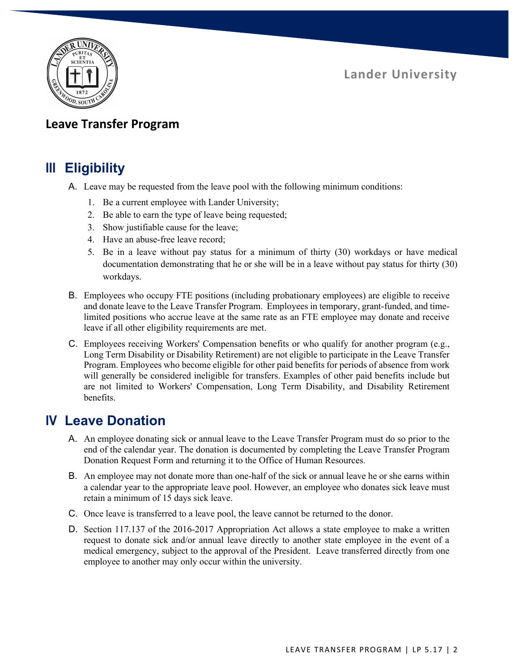**Lander University**



### **Leave Transfer Program**

### **III Eligibility**

- A. Leave may be requested from the leave pool with the following minimum conditions:
	- 1. Be a current employee with Lander University;
	- 2. Be able to earn the type of leave being requested;
	- 3. Show justifiable cause for the leave;
	- 4. Have an abuse-free leave record;
	- 5. Be in a leave without pay status for a minimum of thirty (30) workdays or have medical documentation demonstrating that he or she will be in a leave without pay status for thirty (30) workdays.
- B. Employees who occupy FTE positions (including probationary employees) are eligible to receive and donate leave to the Leave Transfer Program. Employees in temporary, grant-funded, and timelimited positions who accrue leave at the same rate as an FTE employee may donate and receive leave if all other eligibility requirements are met.
- C. Employees receiving Workers' Compensation benefits or who qualify for another program (e.g., Long Term Disability or Disability Retirement) are not eligible to participate in the Leave Transfer Program. Employees who become eligible for other paid benefits for periods of absence from work will generally be considered ineligible for transfers. Examples of other paid benefits include but are not limited to Workers' Compensation, Long Term Disability, and Disability Retirement benefits.

## **IV Leave Donation**

- A. An employee donating sick or annual leave to the Leave Transfer Program must do so prior to the end of the calendar year. The donation is documented by completing the Leave Transfer Program Donation Request Form and returning it to the Office of Human Resources.
- B. An employee may not donate more than one-half of the sick or annual leave he or she earns within a calendar year to the appropriate leave pool. However, an employee who donates sick leave must retain a minimum of 15 days sick leave.
- C. Once leave is transferred to a leave pool, the leave cannot be returned to the donor.
- D. Section 117.137 of the 2016-2017 Appropriation Act allows a state employee to make a written request to donate sick and/or annual leave directly to another state employee in the event of a medical emergency, subject to the approval of the President. Leave transferred directly from one employee to another may only occur within the university.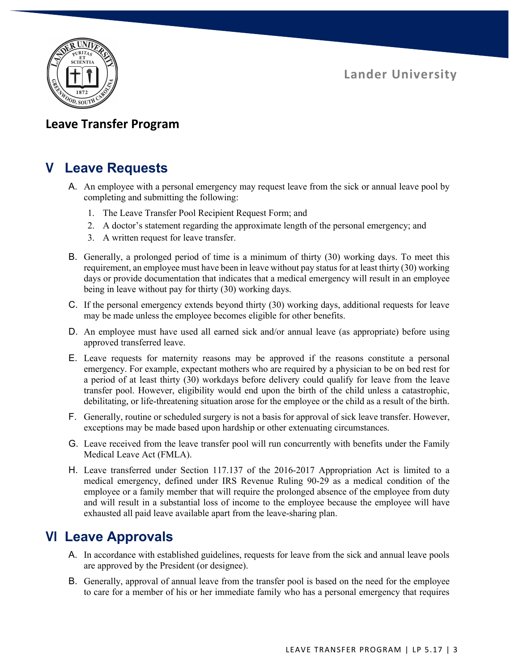**Lander University**



### **Leave Transfer Program**

# **V Leave Requests**

- A. An employee with a personal emergency may request leave from the sick or annual leave pool by completing and submitting the following:
	- 1. The Leave Transfer Pool Recipient Request Form; and
	- 2. A doctor's statement regarding the approximate length of the personal emergency; and
	- 3. A written request for leave transfer.
- B. Generally, a prolonged period of time is a minimum of thirty (30) working days. To meet this requirement, an employee must have been in leave without pay status for at least thirty (30) working days or provide documentation that indicates that a medical emergency will result in an employee being in leave without pay for thirty (30) working days.
- C. If the personal emergency extends beyond thirty (30) working days, additional requests for leave may be made unless the employee becomes eligible for other benefits.
- D. An employee must have used all earned sick and/or annual leave (as appropriate) before using approved transferred leave.
- E. Leave requests for maternity reasons may be approved if the reasons constitute a personal emergency. For example, expectant mothers who are required by a physician to be on bed rest for a period of at least thirty (30) workdays before delivery could qualify for leave from the leave transfer pool. However, eligibility would end upon the birth of the child unless a catastrophic, debilitating, or life-threatening situation arose for the employee or the child as a result of the birth.
- F. Generally, routine or scheduled surgery is not a basis for approval of sick leave transfer. However, exceptions may be made based upon hardship or other extenuating circumstances.
- G. Leave received from the leave transfer pool will run concurrently with benefits under the Family Medical Leave Act (FMLA).
- H. Leave transferred under Section 117.137 of the 2016-2017 Appropriation Act is limited to a medical emergency, defined under IRS Revenue Ruling 90-29 as a medical condition of the employee or a family member that will require the prolonged absence of the employee from duty and will result in a substantial loss of income to the employee because the employee will have exhausted all paid leave available apart from the leave-sharing plan.

## **VI Leave Approvals**

- A. In accordance with established guidelines, requests for leave from the sick and annual leave pools are approved by the President (or designee).
- B. Generally, approval of annual leave from the transfer pool is based on the need for the employee to care for a member of his or her immediate family who has a personal emergency that requires